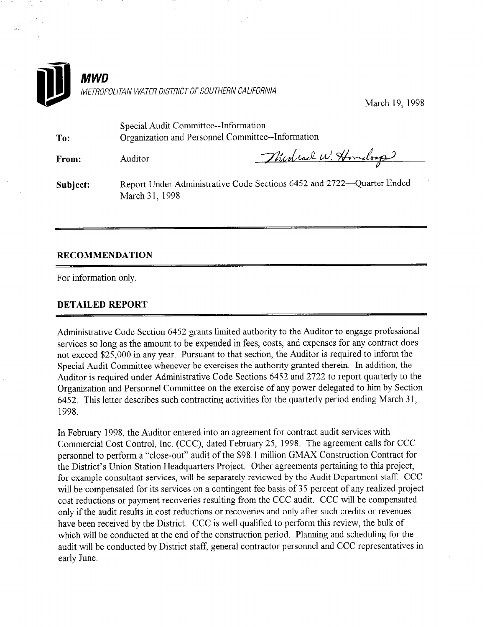

March 19, 1998

| To:      | Special Audit Committee--Information<br>Organization and Personnel Committee--Information |                    |
|----------|-------------------------------------------------------------------------------------------|--------------------|
| From:    | Auditor                                                                                   | Murlind W. Hondorp |
| Subject: | Report Under Administrative Code Sections 6452 and 2722-Quarter Ended<br>March 31, 1998   |                    |

## RECOMMENDATION

For information only.

## DETAILED REPORT

Administrative Code Section 6452 grants limited authority to the Auditor to engage professional services so long as the amount to be expended in fees, costs, and expenses for any contract does not exceed \$25,000 in any year. Pursuant to that section, the Auditor is required to inform the Special Audit Committee whenever he exercises the authority granted therein. In addition, the Auditor is required under Administrative Code Sections 6452 and 2722 to report quarterly to the Organization and Personnel Committee on the exercise of any power delegated to him by Section 6452. This letter describes such contracting activities for the quarterly period ending March 3 1, 1998.

In February 1998, the Auditor entered into an agreement for contract audit services with Commercial Cost Control, Inc. (CCC), dated February 25, 1998. The agreement calls for CCC personnel to perform a "close-out" audit of the \$98.1 million GMAX Construction Contract for the District's Union Station Headquarters Project. Other agreements pertaining to this project, for example consultant services, will be separately reviewed by the Audit Department staff. CCC will be compensated for its services on a contingent fee basis of 35 percent of any realized project cost reductions or payment recoveries resulting from the CCC audit. CCC will be compensated only if the audit results in cost reductions or recoveries and only after such credits or revenues have been received by the District. CCC is well qualified to perform this review, the bulk of which will be conducted at the end of the construction period. Planning and scheduling for the audit will be conducted by District staff, general contractor personnel and CCC representatives in early June.